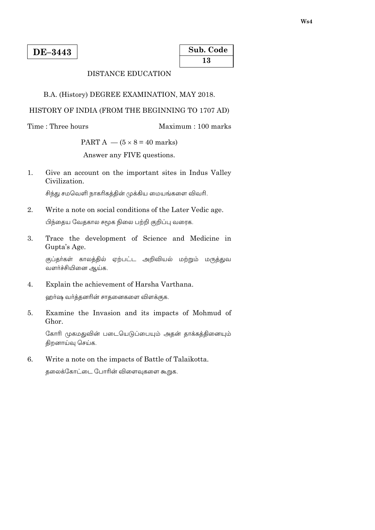| Sub. Code |  |
|-----------|--|
| 13        |  |

Maximum: 100 marks

# **DISTANCE EDUCATION**

B.A. (History) DEGREE EXAMINATION, MAY 2018.

### HISTORY OF INDIA (FROM THE BEGINNING TO 1707 AD)

Time: Three hours

PART A  $-$  (5  $\times$  8 = 40 marks)

Answer any FIVE questions.

 $1.$ Give an account on the important sites in Indus Valley Civilization.

சிந்து சமவெளி நாகரிகத்தின் முக்கிய மையங்களை விவரி.

- $\overline{2}$ . Write a note on social conditions of the Later Vedic age. பிந்தைய வேதகால சமூக நிலை பற்றி குறிப்பு வரைக.
- Trace the development of Science and Medicine in  $\mathbf{3}$ . Gupta's Age.

குப்தா்கள் காலத்தில் ஏற்பட்ட அறிவியல் மற்றும் மருத்துவ வளர்ச்சியினை ஆய்க.

- Explain the achievement of Harsha Varthana.  $\overline{4}$ . ஹர்ஷ வர்த்தனரின் சாதனைகளை விளக்குக.
- Examine the Invasion and its impacts of Mohmud of 5. Ghor.

கோரி முகமதுவின் படையெடுப்பையும் அதன் தாக்கத்தினையும் திறனாய்வு செய்க.

6. Write a note on the impacts of Battle of Talaikotta.

தலைக்கோட்டை போரின் விளைவுகளை கூறுக.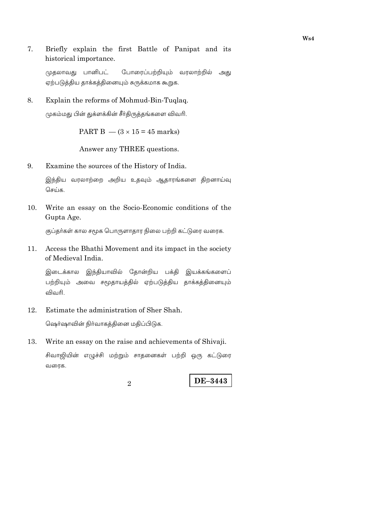7. Briefly explain the first Battle of Panipat and its historical importance.

போரைப்பற்றியும் வரலாற்றில் அது முதலாவது பானிபட் ஏற்படுத்திய தாக்கத்தினையும் சுருக்கமாக கூறுக.

8. Explain the reforms of Mohmud-Bin-Tuqlaq.

முகம்மது பின் துக்ளக்கின் சீர்திருத்தங்களை விவரி.

PART B  $-$  (3  $\times$  15 = 45 marks)

Answer any THREE questions.

9. Examine the sources of the History of India.

> இந்திய வரலாற்றை அறிய உதவும் ஆதாரங்களை திறனாய்வு செய்க.

10. Write an essay on the Socio-Economic conditions of the Gupta Age.

குப்தர்கள் கால சமூக பொருளாதார நிலை பற்றி கட்டுரை வரைக.

Access the Bhathi Movement and its impact in the society 11. of Medieval India.

இடைக்கால இந்தியாவில் தோன்றிய பக்தி இயக்கங்களைப் பற்றியும் அவை சமூதாயத்தில் ஏற்படுத்திய தாக்கத்தினையும் விவரி.

12. Estimate the administration of Sher Shah.

ஷெர்ஷாவின் நிர்வாகத்தினை மதிப்பிடுக.

Write an essay on the raise and achievements of Shivaji. 13.

சிவாஜியின் எழுச்சி மற்றும் சாதனைகள் பற்றி ஒரு கட்டுரை வரைக.

 $\mathcal{D}_{\alpha}$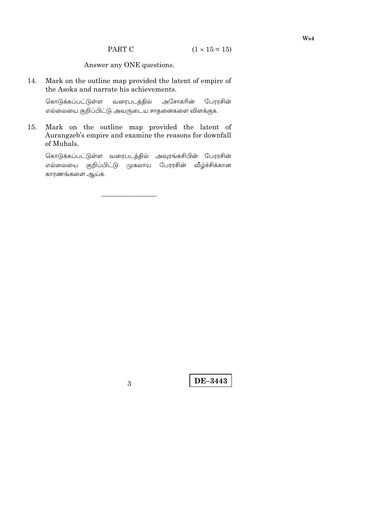Answer any ONE questions.

Mark on the outline map provided the latent of empire of 14. the Asoka and narrate his achievements.

வரைபடத்தில் அசோகரின் கொடுக்கப்பட்டுள்ள பேரரசின் எல்லையை குறிப்பிட்டு அவருடைய சாதனைகளை விளக்குக.

Mark on the outline map provided the latent of 15. Aurangzeb's empire and examine the reasons for downfall of Muhals.

கொடுக்கப்பட்டுள்ள வரைபடத்தில் அவுரங்கசிபின் பேரரசின் எல்லையை குறிப்பிட்டு முகலாய பேரரசின் வீழ்ச்சிக்கான காரணங்களை ஆய்க.

 $\overline{3}$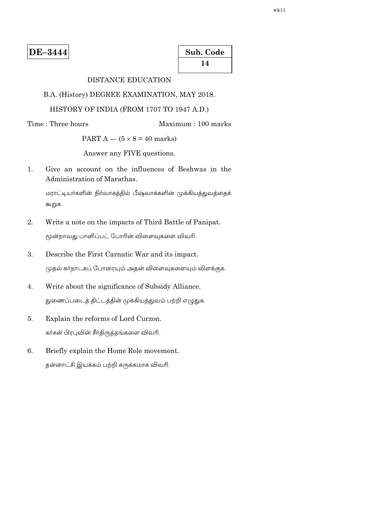| Sub. Code |  |
|-----------|--|
| 14        |  |

# **DISTANCE EDUCATION**

B.A. (History) DEGREE EXAMINATION, MAY 2018.

### HISTORY OF INDIA (FROM 1707 TO 1947 A.D.)

Time: Three hours

Maximum: 100 marks

PART  $A - (5 \times 8 = 40$  marks)

Answer any FIVE questions.

Give an account on the influences of Beshwas in the  $1.$ Administration of Marathas.

மராட்டியா்களின் நிா்வாகத்தில் பீஷ்வாக்களின் முக்கியத்துவத்தைக் கூறுக.

- 2. Write a note on the impacts of Third Battle of Panipat. மூன்றாவது பானிப்பட் போரின் விளைவுகளை விவரி.
- $\mathfrak{Z}$ . Describe the First Carnatic War and its impact. முதல் கர்நாடகப் போரையும் அதன் விளைவுகளையும் விளக்குக.
- $\overline{4}$ . Write about the significance of Subsidy Alliance. துணைப்படைத் திட்டத்தின் முக்கியத்துவம் பற்றி எழுதுக.
- 5. Explain the reforms of Lord Curzon. கர்சன் பிரபுவின் சீர்திருத்தங்களை விவரி.
- 6. Briefly explain the Home Role movement. தன்னாட்சி இயக்கம் பற்றி சுருக்கமாக விவரி.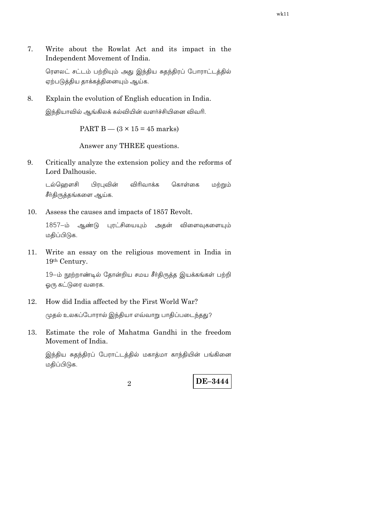7. Write about the Rowlat Act and its impact in the Independent Movement of India.

ரௌலட் சட்டம் பற்றியும் அது இந்திய சுதந்திரப் போராட்டத்தில் ஏற்படுத்திய தாக்கத்தினையும் ஆய்க.

8. Explain the evolution of English education in India. இந்தியாவில் ஆங்கிலக் கல்வியின் வளர்ச்சியினை விவரி.

PART B  $-$  (3  $\times$  15 = 45 marks)

Answer any THREE questions.

9. Critically analyze the extension policy and the reforms of Lord Dalhousie.

டல்வெறளசி பிரபுவின் விரிவாக்க கொள்கை மற்றும் சீா்திருத்தங்களை ஆய்க.

Assess the causes and impacts of 1857 Revolt.  $10.$ 

> 1857-ம் ஆண்டு புரட்சியையும் அதன் விளைவுகளையும் மதிப்பிடுக.

11. Write an essay on the religious movement in India in 19th Century.

19-ம் நூற்றாண்டில் தோன்றிய சமய சீர்திருத்த இயக்கங்கள் பற்றி ஓரு கட்டுரை வரைக.

12. How did India affected by the First World War?

முதல் உலகப்போரால் இந்தியா எவ்வாறு பாதிப்படைந்தது?

Estimate the role of Mahatma Gandhi in the freedom 13. Movement of India.

இந்திய சுதந்திரப் பேராட்டத்தில் மகாத்மா காந்தியின் பங்கினை மதிப்பிடுக.

2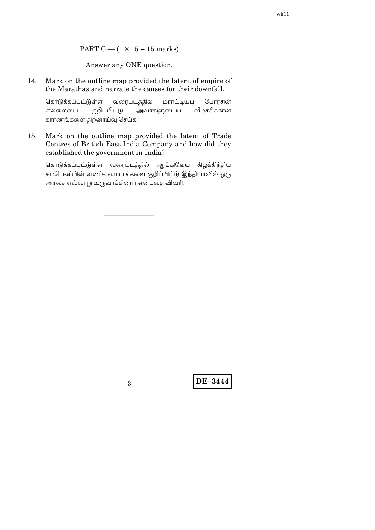#### PART C  $-$  (1  $\times$  15 = 15 marks)

Answer any ONE question.

14. Mark on the outline map provided the latent of empire of the Marathas and narrate the causes for their downfall.

பேரரசின் கொடுக்கப்பட்டுள்ள வரைபடத்தில் மராட்டியப் அவர்களுடைய எல்லையை குறிப்பிட்டு வீழ்ச்சிக்கான காரணங்களை திறனாய்வு செய்க.

Mark on the outline map provided the latent of Trade 15. Centres of British East India Company and how did they established the government in India?

கொடுக்கப்பட்டுள்ள வரைபடத்தில் ஆங்கிலேய கிழக்கிந்திய கம்பெனியின் வணிக மையங்களை குறிப்பிட்டு இந்தியாவில் ஒரு அரசை எவ்வாறு உருவாக்கினார் என்பதை விவரி.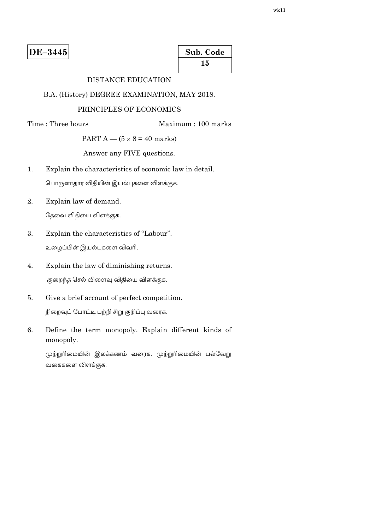| Sub. Code |
|-----------|
| 15        |

# **DISTANCE EDUCATION**

B.A. (History) DEGREE EXAMINATION, MAY 2018.

### PRINCIPLES OF ECONOMICS

Time: Three hours

Maximum: 100 marks

PART  $A - (5 \times 8 = 40$  marks)

Answer any FIVE questions.

 $\overline{1}$ . Explain the characteristics of economic law in detail.

பொருளாதார விதியின் இயல்புகளை விளக்குக.

2. Explain law of demand.

தேவை விதியை விளக்குக.

- Explain the characteristics of "Labour". 3. உழைப்பின் இயல்புகளை விவரி.
- $\overline{4}$ . Explain the law of diminishing returns. குறைந்த செல் விளைவு விதியை விளக்குக.
- Give a brief account of perfect competition. 5. நிறைவுப் போட்டி பற்றி சிறு குறிப்பு வரைக.
- Define the term monopoly. Explain different kinds of 6. monopoly.

முற்றுரிமையின் இலக்கணம் வரைக. முற்றுரிமையின் பல்வேறு வகைகளை விளக்குக.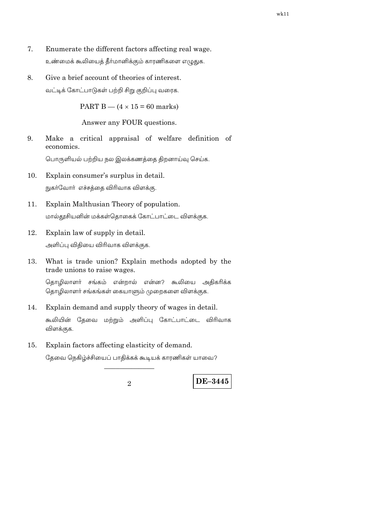- 7. Enumerate the different factors affecting real wage. உண்மைக் கூலியைத் தீர்மானிக்கும் காரணிகளை எழுதுக.
- 8. Give a brief account of theories of interest. வட்டிக் கோட்பாடுகள் பற்றி சிறு குறிப்பு வரைக.

PART B  $-$  (4  $\times$  15 = 60 marks)

Answer any FOUR questions.

9. Make a critical appraisal of welfare definition of economics.

பொருளியல் பற்றிய நல இலக்கணத்தை திறனாய்வு செய்க.

- 10. Explain consumer's surplus in detail. நுகா்வோா் எச்சத்தை விரிவாக விளக்கு.
- Explain Malthusian Theory of population.  $11.$ மால்தூசியனின் மக்கள்தொகைக் கோட்பாட்டை விளக்குக.
- 12. Explain law of supply in detail.

அளிப்பு விதியை விரிவாக விளக்குக.

What is trade union? Explain methods adopted by the 13. trade unions to raise wages.

தொழிலாளர் சங்கம் என்றால் என்ன? கூலியை அதிகரிக்க தொழிலாளா் சங்கங்கள் கையாளும் முறைகளை விளக்குக.

- Explain demand and supply theory of wages in detail. 14. கூலியின் தேவை மற்றும் அளிப்பு கோட்பாட்டை விரிவாக விளக்குக.
- Explain factors affecting elasticity of demand. 15.

தேவை நெகிழ்ச்சியைப் பாதிக்கக் கூடியக் காரணிகள் யாவை?

 $\overline{2}$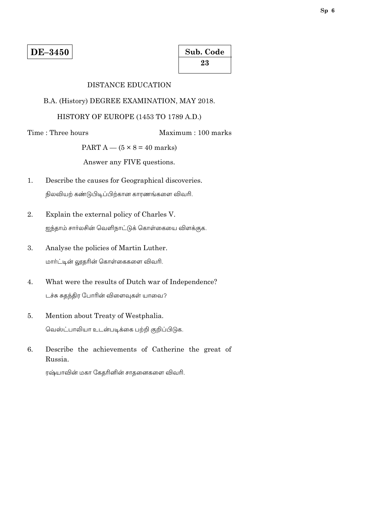| Sub. Code |  |
|-----------|--|
| 23        |  |

### DISTANCE EDUCATION

#### B.A. (History) DEGREE EXAMINATION, MAY 2018.

### HISTORY OF EUROPE (1453 TO 1789 A.D.)

Time: Three hours

### Maximum: 100 marks

PART  $A - (5 \times 8 = 40$  marks)

Answer any FIVE questions.

- $\mathbf{1}$ . Describe the causes for Geographical discoveries. நிலவியற் கண்டுபிடிப்பிற்கான காரணங்களை விவரி.
- 2. Explain the external policy of Charles V. ஐந்தாம் சார்லசின் வெளிநாட்டுக் கொள்கையை விளக்குக.
- 3. Analyse the policies of Martin Luther. மார்ட்டின் லூதரின் கொள்கைகளை விவரி.
- What were the results of Dutch war of Independence?  $\overline{4}$ . டச்சு சுதந்திர போரின் விளைவுகள் யாவை?
- Mention about Treaty of Westphalia. 5. வெஸ்ட்பாலியா உடன்படிக்கை பற்றி குறிப்பிடுக.
- 6. Describe the achievements of Catherine the great of Russia.

ரஷ்யாவின் மகா கேதரினின் சாதனைகளை விவரி.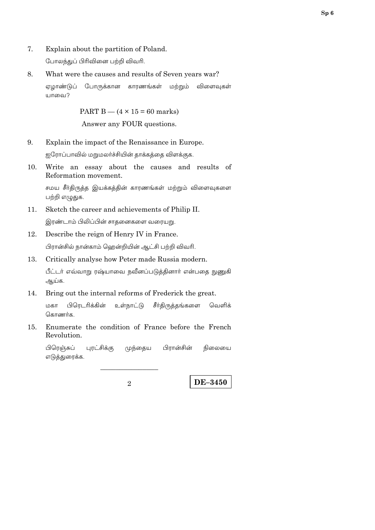7. Explain about the partition of Poland.

போலந்துப் பிரிவினை பற்றி விவரி.

8. What were the causes and results of Seven years war?

ஏமாண்டுப் போருக்கான காரணங்கள் மற்றும் விளைவுகள் யாவை?

> PART B  $-$  (4  $\times$  15 = 60 marks) Answer any FOUR questions.

 $9<sub>1</sub>$ Explain the impact of the Renaissance in Europe.

ஐரோப்பாவில் மறுமலா்ச்சியின் தாக்கத்தை விளக்குக.

10. Write an essay about the causes and results of Reformation movement.

சமய சீா்திருத்த இயக்கத்தின் காரணங்கள் மற்றும் விளைவுகளை பற்றி எழுதுக.

- 11. Sketch the career and achievements of Philip II. இரண்டாம் பிலிப்பின் சாதனைகளை வரையறு.
- 12. Describe the reign of Henry IV in France.

பிரான்சில் நான்காம் ஹென்றியின் ஆட்சி பற்றி விவரி.

Critically analyse how Peter made Russia modern. 13.

பீட்டர் எவ்வாறு ரஷ்யாவை நவீனப்படுத்தினார் என்பதை நுணுகி ஆய்க.

14. Bring out the internal reforms of Frederick the great.

மகா பிரெடரிக்கின் உள்நாட்டு சீர்திருத்தங்களை வெளிக் கொணர்க.

Enumerate the condition of France before the French  $15.$ Revolution.

பிரெஞ்சுப் புரட்சிக்கு முந்தைய பிரான்சின் நிலையை எடுத்துரைக்க.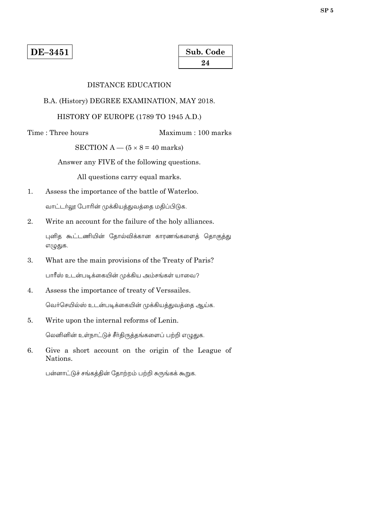| Sub. Code |  |
|-----------|--|
| 24        |  |

### DISTANCE EDUCATION

#### B.A. (History) DEGREE EXAMINATION, MAY 2018.

### HISTORY OF EUROPE (1789 TO 1945 A.D.)

Time: Three hours

Maximum: 100 marks

SECTION A  $-$  (5  $\times$  8 = 40 marks)

Answer any FIVE of the following questions.

All questions carry equal marks.

 $1.$ Assess the importance of the battle of Waterloo.

வாட்டர்லூ போரின் முக்கியத்துவத்தை மதிப்பிடுக.

2. Write an account for the failure of the holy alliances.

புனித கூட்டணியின் தோல்விக்கான காரணங்களைத் தொகுத்து எழுதுக.

- 3. What are the main provisions of the Treaty of Paris? பாரீஸ் உடன்படிக்கையின் முக்கிய அம்சங்கள் யாவை?
- $\overline{4}$ . Assess the importance of treaty of Verssailes. வெர்செயில்ஸ் உடன்படிக்கையின் முக்கியத்துவத்தை ஆய்க.
- Write upon the internal reforms of Lenin. 5.

லெனினின் உள்நாட்டுச் சீர்திருத்தங்களைப் பற்றி எழுதுக.

6. Give a short account on the origin of the League of Nations.

பன்னாட்டுச் சங்கத்தின் தோற்றம் பற்றி சுருங்கக் கூறுக.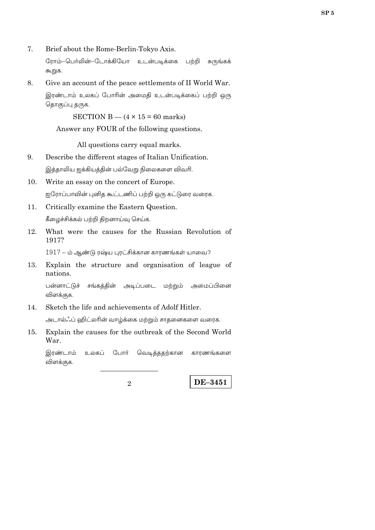7. Brief about the Rome-Berlin-Tokyo Axis.

> ரோம்–பெர்லின்–டோக்கியோ உடன்படிக்கை பற்றி சுருங்கக் கூறுக.

Give an account of the peace settlements of II World War. 8.

இரண்டாம் உலகப் போரின் அமைதி உடன்படிக்கைப் பற்றி ஒரு தொகுப்பு தருக.

SECTION B  $-$  (4  $\times$  15 = 60 marks)

Answer any FOUR of the following questions.

All questions carry equal marks.

9. Describe the different stages of Italian Unification.

இத்தாலிய ஐக்கியத்தின் பல்வேறு நிலைகளை விவரி.

- 10. Write an essay on the concert of Europe. ஐரோப்பாவின் புனித கூட்டணிப் பற்றி ஒரு கட்டுரை வரைக.
- $11.$ Critically examine the Eastern Question.

கீழைச்சிக்கல் பற்றி திறனாய்வு செய்க.

12. What were the causes for the Russian Revolution of 1917?

1917 – ம் ஆண்டு ரஷ்ய பாட்சிக்கான காரணங்கள் யாவை?

13. Explain the structure and organisation of league of nations.

பன்னாட்டுச் சங்கத்தின் அடிப்படை மற்றும் அமைப்பினை விளக்குக.

Sketch the life and achievements of Adolf Hitler. 14.

அடால்ஃப் ஹிட்லரின் வாழ்க்கை மற்றும் சாதனைகளை வரைக.

Explain the causes for the outbreak of the Second World 15. War.

இரண்டாம் ோர் வெடித்ததற்கான உலகப் காரணங்களை விளக்குக.

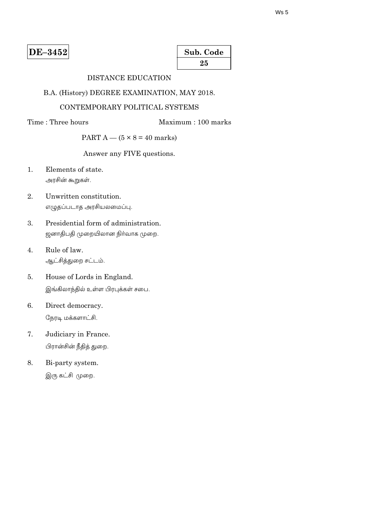| Sub. Code |  |
|-----------|--|
| 25        |  |

# DISTANCE EDUCATION

### B.A. (History) DEGREE EXAMINATION, MAY 2018.

# CONTEMPORARY POLITICAL SYSTEMS

### Time: Three hours

Maximum: 100 marks

# PART  $A - (5 \times 8 = 40$  marks)

Answer any FIVE questions.

- $1<sup>1</sup>$ Elements of state. அரசின் கூறுகள்.
- $\overline{2}$ . Unwritten constitution. எழுதப்படாத அரசியலமைப்பு.
- Presidential form of administration. 3. ஜனாதிபதி முறையிலான நிர்வாக முறை.
- Rule of law.  $4.$ ஆட்சித்துறை சட்டம்.
- House of Lords in England. 5. இங்கிலாந்தில் உள்ள பிரபுக்கள் சபை.
- 6. Direct democracy. நேரடி மக்களாட்சி.
- $7.$ Judiciary in France. பிரான்சின் நீதித் துறை.
- 8. Bi-party system. இரு கட்சி முறை.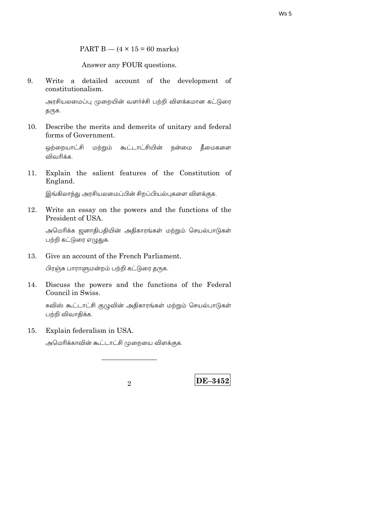PART B  $-$  (4  $\times$  15 = 60 marks)

Answer any FOUR questions.

9. Write a detailed account of the development of constitutionalism.

அரசியலமைப்பு முறையின் வளர்ச்சி பற்றி விளக்கமான கட்டுரை தருக.

10. Describe the merits and demerits of unitary and federal forms of Government.

ஒற்றையாட்சி மற்றும் கூட்டாட்சியின் நன்மை தீமைகளை விவரிக்க

Explain the salient features of the Constitution of  $11.$ England.

இங்கிலாந்து அரசியலமைப்பின் சிறப்பியல்புகளை விளக்குக.

12. Write an essay on the powers and the functions of the President of USA.

அமெரிக்க ஜனாதிபதியின் அதிகாரங்கள் மற்றும் செயல்பாடுகள் பற்றி கட்டுரை எழுதுக.

Give an account of the French Parliament. 13.

பிரஞ்சு பாராளுமன்றம் பற்றி கட்டுரை தருக.

Discuss the powers and the functions of the Federal 14. Council in Swiss.

சுவிஸ் கூட்டாட்சி குழுவின் அதிகாரங்கள் மற்றும் செயல்பாடுகள் பற்றி விவாதிக்க.

Explain federalism in USA. 15.

அமெரிக்காவின் கூட்டாட்சி முறையை விளக்குக.

 $\mathcal{D}_{\alpha}$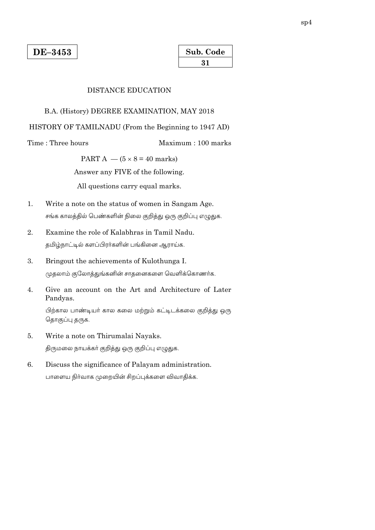| Sub. Code |  |
|-----------|--|
| 31        |  |

#### **DISTANCE EDUCATION**

#### B.A. (History) DEGREE EXAMINATION, MAY 2018

HISTORY OF TAMILNADU (From the Beginning to 1947 AD)

Time: Three hours

Maximum: 100 marks

PART A  $-$  (5  $\times$  8 = 40 marks)

Answer any FIVE of the following.

All questions carry equal marks.

- Write a note on the status of women in Sangam Age.  $\mathbf{1}$ . சங்க காலத்தில் பெண்களின் நிலை குறித்து ஒரு குறிப்பு எழுதுக.
- 2. Examine the role of Kalabhras in Tamil Nadu. தமிழ்நாட்டில் களப்பிரர்களின் பங்கினை ஆராய்க.
- $3.$ Bringout the achievements of Kulothunga I. முதலாம் குலோத்துங்கனின் சாதனைகளை வெளிக்கொணர்க.
- Give an account on the Art and Architecture of Later  $\overline{4}$ . Pandyas.

பிற்கால பாண்டியர் கால கலை மற்றும் கட்டிடக்கலை குறித்து ஒரு தொகுப்பு தருக.

- Write a note on Thirumalai Nayaks. 5. திருமலை நாயக்கா் குறித்து ஒரு குறிப்பு எழுதுக.
- Discuss the significance of Palayam administration. 6. பாளைய நிர்வாக முறையின் சிறப்புக்களை விவாதிக்க.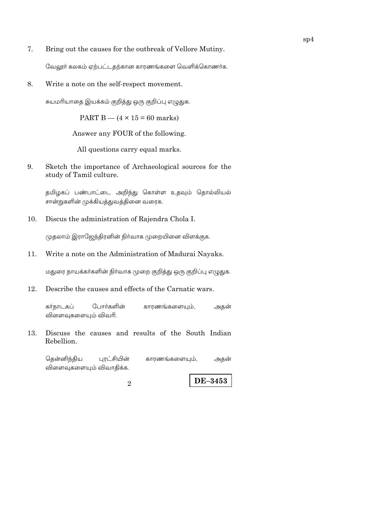7. Bring out the causes for the outbreak of Vellore Mutiny.

வேலூர் கலகம் ஏற்பட்டதற்கான காரணங்களை வெளிக்கொணர்க.

8. Write a note on the self-respect movement.

சுயமரியாதை இயக்கம் குறித்து ஒரு குறிப்பு எழுதுக.

PART B  $-$  (4  $\times$  15 = 60 marks)

Answer any FOUR of the following.

All questions carry equal marks.

9. Sketch the importance of Archaeological sources for the study of Tamil culture.

தமிழகப் பண்பாட்டை அறிந்து கொள்ள உதவும் தொல்லியல் சான்றுகளின் முக்கியத்துவத்தினை வரைக.

 $10.$ Discus the administration of Rajendra Chola I.

முதலாம் இராஜேந்திரனின் நிர்வாக முறையினை விளக்குக.

Write a note on the Administration of Madurai Nayaks. 11.

மதுரை நாயக்கா்களின் நிா்வாக முறை குறித்து ஒரு குறிப்பு எழுதுக.

Describe the causes and effects of the Carnatic wars. 12.

கர்நாடகப் போர்களின் காரணங்களையும், அதன் விளைவுகளையும் விவரி.

Discuss the causes and results of the South Indian 13. Rebellion.

தென்னிந்திய புரட்சியின் காரணங்களையும், அதன் விளைவுகளையும் விவாதிக்க.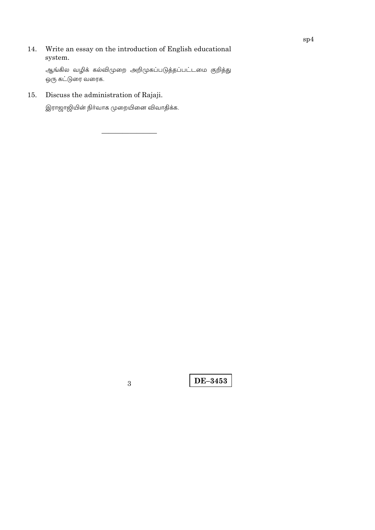Write an essay on the introduction of English educational 14. system.

ஆங்கில வழிக் கல்விமுறை அறிமுகப்படுத்தப்பட்டமை குறித்து ஒரு கட்டுரை வரைக.

Discuss the administration of Rajaji. 15.

இராஜாஜியின் நிா்வாக முறையினை விவாதிக்க.

 $\overline{3}$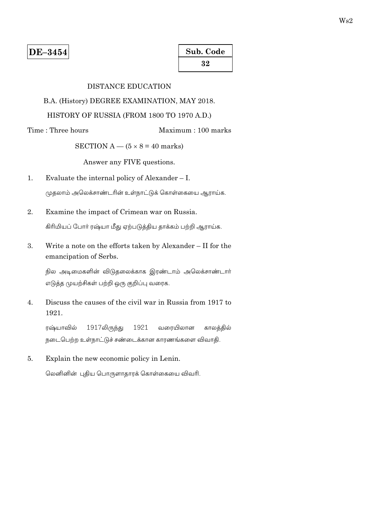| Sub. Code |  |
|-----------|--|
| 32        |  |

# **DISTANCE EDUCATION**

B.A. (History) DEGREE EXAMINATION, MAY 2018.

# HISTORY OF RUSSIA (FROM 1800 TO 1970 A.D.)

Time: Three hours Maximum: 100 marks

SECTION A  $-$  (5  $\times$  8 = 40 marks)

Answer any FIVE questions.

- $1.$ Evaluate the internal policy of Alexander  $- I$ . முதலாம் அலெக்சாண்டரின் உள்நாட்டுக் கொள்கையை ஆராய்க.
- $\overline{2}$ . Examine the impact of Crimean war on Russia. கிரிமியப் போர் ரஷ்யா மீது ஏற்படுத்திய தாக்கம் பற்றி ஆராய்க.
- 3. Write a note on the efforts taken by Alexander - II for the emancipation of Serbs.

நில அடிமைகளின் விடுதலைக்காக இரண்டாம் அலெக்சாண்டார் எடுத்த முயற்சிகள் பற்றி ஒரு குறிப்பு வரைக.

Discuss the causes of the civil war in Russia from 1917 to  $\overline{4}$ . 1921.

ரஷ்யாவில் 1917லிருந்து 1921 வரையிலான காலக்கில் நடைபெற்ற உள்நாட்டுச் சண்டைக்கான காரணங்களை விவாதி.

5. Explain the new economic policy in Lenin.

லெனினின் புதிய பொருளாதாரக் கொள்கையை விவரி.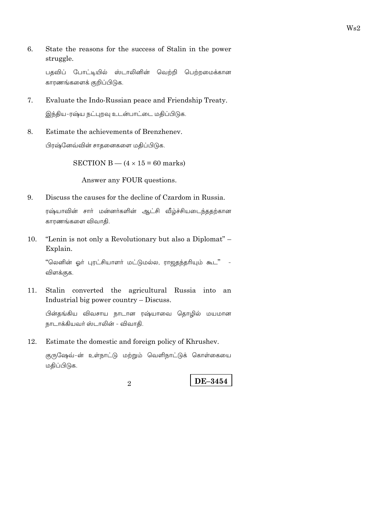6. State the reasons for the success of Stalin in the power struggle.

பதவிப் போட்டியில் ஸ்டாலினின் வெற்றி பெற்றமைக்கான காரணங்களைக் குறிப்பிடுக.

7. Evaluate the Indo-Russian peace and Friendship Treaty.

இந்திய-ரஷ்ய நட்புறவு உடன்பாட்டை மதிப்பிடுக.

8. Estimate the achievements of Brenzhenev.

பிரஷ்னேவ்வின் சாதனைகளை மதிப்பிடுக.

SECTION B  $-$  (4  $\times$  15 = 60 marks)

Answer any FOUR questions.

- Discuss the causes for the decline of Czardom in Russia. 9. ரஷ்யாவின் சார் மன்னர்களின் ஆட்சி வீழ்ச்சியடைந்ததற்கான காரணங்களை விவாதி.
- $10.$ "Lenin is not only a Revolutionary but also a Diplomat" – Explain.

"லெனின் ஓா் புரட்சியாளா் மட்டுமல்ல, ராஜதந்தாியும் கூட"  $\sim$ விளக்குக.

11. Stalin converted the agricultural Russia into an Industrial big power country  $-$  Discuss.

பின்தங்கிய விவசாய நாடான ரஷ்யாவை தொழில் மயமான நாடாக்கியவர் ஸ்டாலின் - விவாதி.

Estimate the domestic and foreign policy of Khrushev. 12.

குருஷேவ்-ன் உள்நாட்டு மற்றும் வெளிநாட்டுக் கொள்கையை மதிப்பிடுக.

 $\mathcal{D}_{\alpha}$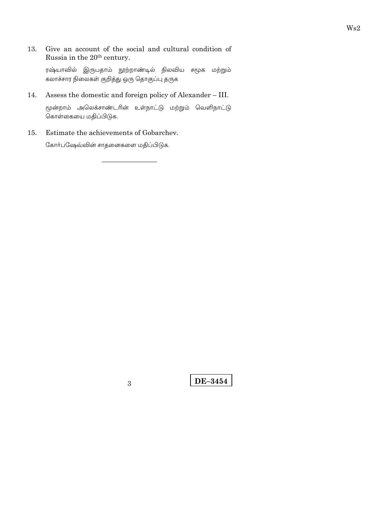Give an account of the social and cultural condition of 13. Russia in the 20<sup>th</sup> century.

ரஷ்யாவில் இருபதாம் நூற்றாண்டில் நிலவிய சமூக மற்றும் கலாச்சார நிலைகள் குறித்து ஒரு தொகுப்பு தருக

14. Assess the domestic and foreign policy of Alexander - III.

மூன்றாம் அலெக்சாண்டரின் உள்நாட்டு மற்றும் வெளிநாட்டு கொள்கையை மதிப்பிடுக.

Estimate the achievements of Gobarchev. 15.

கோர்பஷேவ்வின் சாதனைகளை மதிப்பிடுக.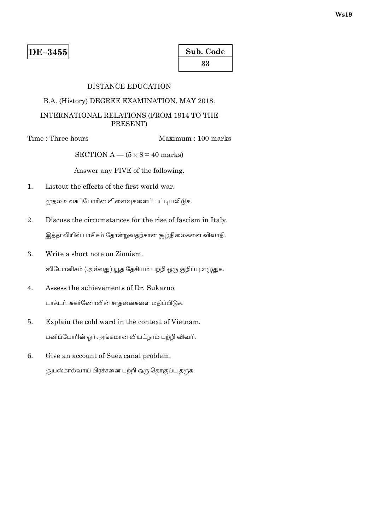| Sub. Code |  |
|-----------|--|
| 33        |  |

# **DISTANCE EDUCATION**

### B.A. (History) DEGREE EXAMINATION, MAY 2018.

# INTERNATIONAL RELATIONS (FROM 1914 TO THE PRESENT)

Time: Three hours

Maximum: 100 marks

SECTION A —  $(5 \times 8 = 40$  marks)

Answer any FIVE of the following.

- Listout the effects of the first world war.  $\mathbf{1}$ . முதல் உலகப்போரின் விளைவுகளைப் பட்டியலிடுக.
- 2. Discuss the circumstances for the rise of fascism in Italy. இத்தாலியில் பாசிசம் தோன்றுவதற்கான சூழ்நிலைகளை விவாதி.
- $3.$ Write a short note on Zionism.

ஸியோனிசம் (அல்லது) யூத தேசியம் பற்றி ஒரு குறிப்பு எழுதுக.

- Assess the achievements of Dr. Sukarno.  $\overline{4}$ . டாக்டர். சுகர்ணோவின் சாதனைகளை மதிப்பிடுக.
- $5<sub>1</sub>$ Explain the cold ward in the context of Vietnam. பனிப்போரின் ஓர் அங்கமான வியட்நாம் பற்றி விவரி.
- 6. Give an account of Suez canal problem. சூயஸ்கால்வாய் பிரச்சனை பற்றி ஒரு தொகுப்பு தருக.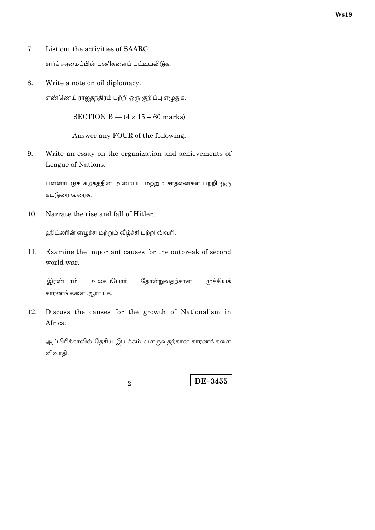- 7. List out the activities of SAARC. சார்க் அமைப்பின் பணிகளைப் பட்டியலிடுக.
- 8. Write a note on oil diplomacy. எண்ணெய் ராஜதந்திரம் பற்றி ஒரு குறிப்பு எழுதுக.

SECTION B  $-$  (4  $\times$  15 = 60 marks)

Answer any FOUR of the following.

Write an essay on the organization and achievements of 9. League of Nations.

பன்னாட்டுக் கழகத்தின் அமைப்பு மற்றும் சாதனைகள் பற்றி ஒரு கட்டுரை வரைக.

10. Narrate the rise and fall of Hitler.

ஹிட்லரின் எழுச்சி மற்றும் வீழ்ச்சி பற்றி விவரி.

Examine the important causes for the outbreak of second 11. world war.

இரண்டாம் உலகப்போர் தோன்றுவதற்கான முக்கியக் காரணங்களை ஆராய்க.

12. Discuss the causes for the growth of Nationalism in Africa.

ஆப்பிரிக்காவில் தேசிய இயக்கம் வளருவதற்கான காரணங்களை விவாதி.

 $\overline{2}$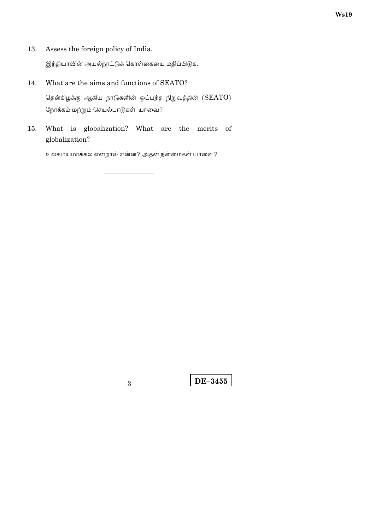Assess the foreign policy of India. 13.

இந்தியாவின் அயல்நாட்டுக் கொள்கையை மதிப்பிடுக.

What are the aims and functions of SEATO? 14. தென்கிழக்கு ஆகிய நாடுகளின் ஒப்பந்த நிறுவத்தின்  $(SEATO)$ 

நோக்கம் மற்றும் செயல்பாடுகள் யாவை?

What is globalization? What are the merits of 15. globalization?

உலகமயமாக்கல் என்றால் என்ன? அதன் நன்மைகள் யாவை?

 $\overline{3}$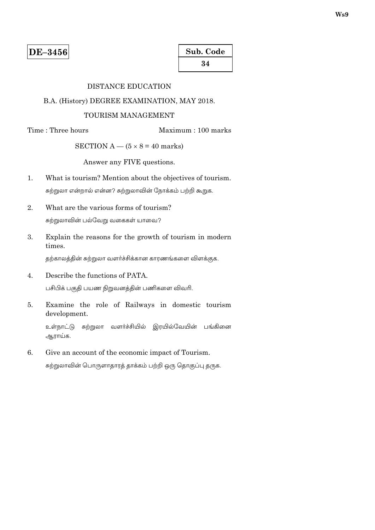# **DISTANCE EDUCATION**

### B.A. (History) DEGREE EXAMINATION, MAY 2018.

### TOURISM MANAGEMENT

Time: Three hours

Maximum: 100 marks

SECTION A  $-$  (5  $\times$  8 = 40 marks)

Answer any FIVE questions.

- What is tourism? Mention about the objectives of tourism.  $1.$ சுற்றுலா என்றால் என்ன? சுற்றுலாவின் நோக்கம் பற்றி கூறுக.
- What are the various forms of tourism? 2. சுற்றுலாவின் பல்வேறு வகைகள் யாவை?
- 3. Explain the reasons for the growth of tourism in modern times.

தற்காலத்தின் சுற்றுலா வளர்ச்சிக்கான காரணங்களை விளக்குக.

- Describe the functions of PATA.  $4.$ பசிபிக் பகுதி பயண நிறுவனத்தின் பணிகளை விவரி.
- Examine the role of Railways in domestic tourism 5. development.

உள்நாட்டு சுற்றுலா வளர்ச்சியில் இரயில்வேயின் பங்கினை ஆராய்க.

6. Give an account of the economic impact of Tourism.

சுற்றுலாவின் பொருளாதாரத் தாக்கம் பற்றி ஒரு தொகுப்பு தருக.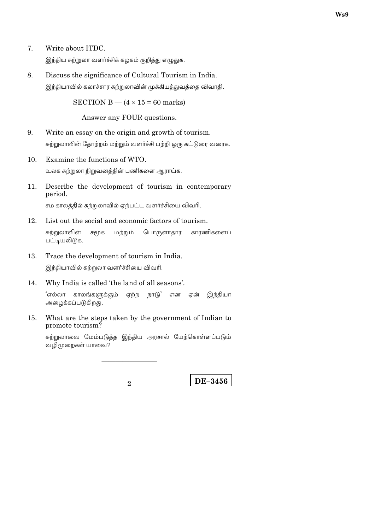இந்திய சுற்றுலா வளர்ச்சிக் கழகம் குறித்து எழுதுக.

8. Discuss the significance of Cultural Tourism in India. இந்தியாவில் கலாச்சார சுற்றுலாவின் முக்கியத்துவத்தை விவாதி.

SECTION B —  $(4 \times 15 = 60$  marks)

Answer any FOUR questions.

- 9. Write an essay on the origin and growth of tourism. சுற்றுலாவின் தோற்றம் மற்றும் வளர்ச்சி பற்றி ஒரு கட்டுரை வரைக.
- $10.$ Examine the functions of WTO. உலக சுற்றுலா நிறுவனத்தின் பணிகளை ஆராய்க.
- 11. Describe the development of tourism in contemporary period.

சம காலத்தில் சுற்றுலாவில் ஏற்பட்ட வளர்ச்சியை விவரி.

12. List out the social and economic factors of tourism.

சுற்றுலாவின் சமூக மற்றும் பொருளாதார காரணிகளைப் பட்டியலிடுக.

- Trace the development of tourism in India. 13. இந்தியாவில் சுற்றுலா வளர்ச்சியை விவரி.
- $14.$ Why India is called 'the land of all seasons'.

'எல்லா காலங்களுக்கும் ஏற்ற நாடு' இந்தியா என என் அழைக்கப்படுகிறது.

What are the steps taken by the government of Indian to 15. promote tourism?

சுற்றுலாவை மேம்படுத்த இந்திய அரசால் மேற்கொள்ளப்படும் வழிமுறைகள் யாவை?

 $\mathcal{D}_{\alpha}$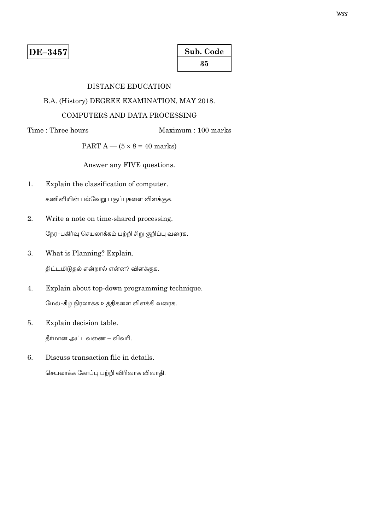# **DISTANCE EDUCATION**

# B.A. (History) DEGREE EXAMINATION, MAY 2018.

### COMPUTERS AND DATA PROCESSING

Time: Three hours

Maximum: 100 marks

PART A  $-$  (5  $\times$  8 = 40 marks)

Answer any FIVE questions.

- Explain the classification of computer.  $1.$ கணினியின் பல்வேறு பகுப்புகளை விளக்குக.
- $\overline{2}$ . Write a note on time-shared processing. நேர-பகிர்வு செயலாக்கம் பற்றி சிறு குறிப்பு வரைக.
- 3. What is Planning? Explain.

திட்டமிடுதல் என்றால் என்ன? விளக்குக.

- $4.$ Explain about top-down programming technique. மேல்-கீழ் நிரலாக்க உத்திகளை விளக்கி வரைக.
- 5. Explain decision table.

தீர்மான அட்டவணை – விவரி.

Discuss transaction file in details. 6.

செயலாக்க கோப்பு பற்றி விரிவாக விவாதி.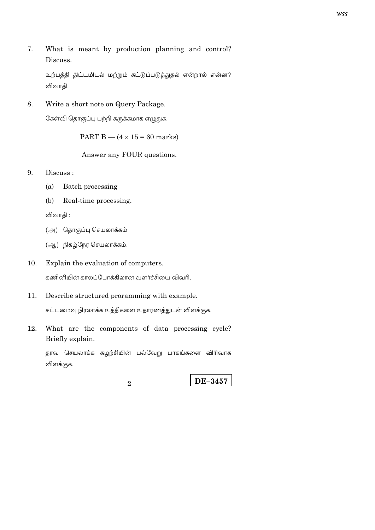7. What is meant by production planning and control? Discuss.

உற்பத்தி திட்டமிடல் மற்றும் கட்டுப்படுத்துதல் என்றால் என்ன? விவாதி.

8. Write a short note on Query Package.

கேள்வி தொகுப்பு பற்றி சுருக்கமாக எழுதுக.

PART B  $-$  (4  $\times$  15 = 60 marks)

Answer any FOUR questions.

- 9. Discuss:
	- Batch processing  $(a)$
	- $(b)$ Real-time processing.

விவாதி:

- (அ) தொகுப்பு செயலாக்கம்
- (ஆ) நிகழ்நேர செயலாக்கம்.
- 10. Explain the evaluation of computers.

கணினியின் காலப்போக்கிலான வளர்ச்சியை விவரி.

- Describe structured proramming with example. 11. கட்டமைவு நிரலாக்க உத்திகளை உதாரணத்துடன் விளக்குக.
- 12. What are the components of data processing cycle? Briefly explain.

தரவு செயலாக்க சுழற்சியின் பல்வேறு பாகங்களை விரிவாக விளக்குக.

 $\overline{2}$